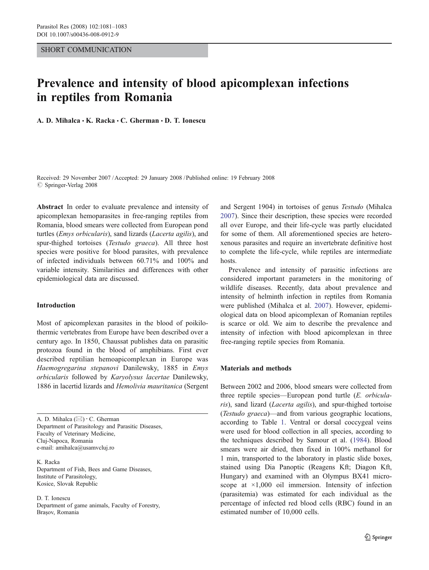## SHORT COMMUNICATION

# Prevalence and intensity of blood apicomplexan infections in reptiles from Romania

A. D. Mihalca  $\cdot$  K. Racka  $\cdot$  C. Gherman  $\cdot$  D. T. Ionescu

Received: 29 November 2007 /Accepted: 29 January 2008 / Published online: 19 February 2008  $\oslash$  Springer-Verlag 2008

Abstract In order to evaluate prevalence and intensity of apicomplexan hemoparasites in free-ranging reptiles from Romania, blood smears were collected from European pond turtles (Emys orbicularis), sand lizards (Lacerta agilis), and spur-thighed tortoises (Testudo graeca). All three host species were positive for blood parasites, with prevalence of infected individuals between 60.71% and 100% and variable intensity. Similarities and differences with other epidemiological data are discussed.

## Introduction

Most of apicomplexan parasites in the blood of poikilothermic vertebrates from Europe have been described over a century ago. In 1850, Chaussat publishes data on parasitic protozoa found in the blood of amphibians. First ever described reptilian hemoapicomplexan in Europe was Haemogregarina stepanovi Danilewsky, 1885 in Emys orbicularis followed by Karyolysus lacertae Danilewsky, 1886 in lacertid lizards and Hemolivia mauritanica (Sergent

A. D. Mihalca (*\**) *:* C. Gherman Department of Parasitology and Parasitic Diseases, Faculty of Veterinary Medicine, Cluj-Napoca, Romania e-mail: amihalca@usamvcluj.ro

K. Racka Department of Fish, Bees and Game Diseases, Institute of Parasitology, Kosice, Slovak Republic

D. T. Ionescu Department of game animals, Faculty of Forestry, Braşov, Romania

and Sergent 1904) in tortoises of genus Testudo (Mihalca [2007](#page-2-0)). Since their description, these species were recorded all over Europe, and their life-cycle was partly elucidated for some of them. All aforementioned species are heteroxenous parasites and require an invertebrate definitive host to complete the life-cycle, while reptiles are intermediate hosts.

Prevalence and intensity of parasitic infections are considered important parameters in the monitoring of wildlife diseases. Recently, data about prevalence and intensity of helminth infection in reptiles from Romania were published (Mihalca et al. [2007\)](#page-2-0). However, epidemiological data on blood apicomplexan of Romanian reptiles is scarce or old. We aim to describe the prevalence and intensity of infection with blood apicomplexan in three free-ranging reptile species from Romania.

#### Materials and methods

Between 2002 and 2006, blood smears were collected from three reptile species—European pond turtle (E. orbicularis), sand lizard (Lacerta agilis), and spur-thighed tortoise (Testudo graeca)—and from various geographic locations, according to Table [1.](#page-1-0) Ventral or dorsal coccygeal veins were used for blood collection in all species, according to the techniques described by Samour et al. ([1984\)](#page-2-0). Blood smears were air dried, then fixed in 100% methanol for 1 min, transported to the laboratory in plastic slide boxes, stained using Dia Panoptic (Reagens Kft; Diagon Kft, Hungary) and examined with an Olympus BX41 microscope at ×1,000 oil immersion. Intensity of infection (parasitemia) was estimated for each individual as the percentage of infected red blood cells (RBC) found in an estimated number of 10,000 cells.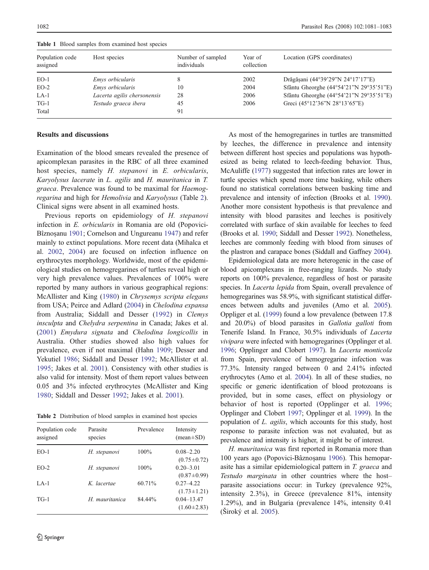| Population code<br>assigned | Host species                | Number of sampled<br>individuals | Year of<br>collection | Location (GPS coordinates)              |
|-----------------------------|-----------------------------|----------------------------------|-----------------------|-----------------------------------------|
| $EO-1$                      | Emys orbicularis            |                                  | 2002                  | Drăgășani (44°39'29"N 24°17'17"E)       |
| $EO-2$                      | Emys orbicularis            | 10                               | 2004                  | Sfântu Gheorghe (44°54'21"N 29°35'51"E) |
| $LA-1$                      | Lacerta agilis chersonensis | 28                               | 2006                  | Sfântu Gheorghe (44°54'21"N 29°35'51"E) |
| $TG-1$                      | Testudo graeca ibera        | 45                               | 2006                  | Greci (45°12'36"N 28°13'65"E)           |
| Total                       |                             | 91                               |                       |                                         |

<span id="page-1-0"></span>Table 1 Blood samples from examined host species

# Results and discussions

Examination of the blood smears revealed the presence of apicomplexan parasites in the RBC of all three examined host species, namely H. stepanovi in E. orbicularis, Karyolysus lacerate in L. agilis and H. mauritanica in T. graeca. Prevalence was found to be maximal for Haemogregarina and high for Hemolivia and Karyolysus (Table 2). Clinical signs were absent in all examined hosts.

Previous reports on epidemiology of H. stepanovi infection in E. orbicularis in Romania are old (Popovici-Bîznoşanu [1901;](#page-2-0) Cornelson and Ungureanu [1947\)](#page-2-0) and refer mainly to extinct populations. More recent data (Mihalca et al. [2002,](#page-2-0) [2004](#page-2-0)) are focused on infection influence on erythrocytes morphology. Worldwide, most of the epidemiological studies on hemogregarines of turtles reveal high or very high prevalence values. Prevalences of 100% were reported by many authors in various geographical regions: McAllister and King [\(1980](#page-2-0)) in Chrysemys scripta elegans from USA; Peirce and Adlard [\(2004](#page-2-0)) in Chelodina expansa from Australia; Siddall and Desser [\(1992\)](#page-2-0) in Clemys insculpta and Chelydra serpentina in Canada; Jakes et al. [\(2001\)](#page-2-0) Emydura signata and Chelodina longicollis in Australia. Other studies showed also high values for prevalence, even if not maximal (Hahn [1909](#page-2-0); Desser and Yekutiel [1986;](#page-2-0) Siddall and Desser [1992](#page-2-0); McAllister et al. [1995;](#page-2-0) Jakes et al. [2001\)](#page-2-0). Consistency with other studies is also valid for intensity. Most of them report values between 0.05 and 3% infected erythrocytes (McAllister and King [1980;](#page-2-0) Siddall and Desser [1992;](#page-2-0) Jakes et al. [2001\)](#page-2-0).

Table 2 Distribution of blood samples in examined host species

| Population code<br>assigned | Parasite<br>species | Prevalence | Intensity<br>$(mean \pm SD)$        |
|-----------------------------|---------------------|------------|-------------------------------------|
| $EO-1$                      | H. stepanovi        | 100%       | $0.08 - 2.20$<br>$(0.75 \pm 0.72)$  |
| $EO-2$                      | H. stepanovi        | 100%       | $0.20 - 3.01$<br>$(0.87 \pm 0.99)$  |
| $LA-1$                      | K lacertae          | 60.71%     | $0.27 - 4.22$<br>$(1.73 \pm 1.21)$  |
| $T$ G-1                     | H. mauritanica      | 84.44%     | $0.04 - 13.47$<br>$(1.60 \pm 2.83)$ |

As most of the hemogregarines in turtles are transmitted by leeches, the difference in prevalence and intensity between different host species and populations was hypothesized as being related to leech-feeding behavior. Thus, McAuliffe [\(1977\)](#page-2-0) suggested that infection rates are lower in turtle species which spend more time basking, while others found no statistical correlations between basking time and prevalence and intensity of infection (Brooks et al. [1990\)](#page-2-0). Another more consistent hypothesis is that prevalence and intensity with blood parasites and leeches is positively correlated with surface of skin available for leeches to feed (Brooks et al. [1990;](#page-2-0) Siddall and Desser [1992\)](#page-2-0). Nonetheless, leeches are commonly feeding with blood from sinuses of the plastron and carapace bones (Siddall and Gaffney [2004\)](#page-2-0).

Epidemiological data are more heterogenic in the case of blood apicomplexans in free-ranging lizards. No study reports on 100% prevalence, regardless of host or parasite species. In Lacerta lepida from Spain, overall prevalence of hemogregarines was 58.9%, with significant statistical differences between adults and juveniles (Amo et al. [2005\)](#page-2-0). Oppliger et al. [\(1999](#page-2-0)) found a low prevalence (between 17.8 and 20.0%) of blood parasites in Gallotia galloti from Tenerife Island. In France, 30.5% individuals of Lacerta vivipara were infected with hemogregarines (Opplinger et al. [1996;](#page-2-0) Opplinger and Clobert [1997](#page-2-0)). In Lacerta monticola from Spain, prevalence of hemogregarine infection was 77.3%. Intensity ranged between 0 and 2.41% infected erythrocytes (Amo et al. [2004](#page-2-0)). In all of these studies, no specific or generic identification of blood protozoans is provided, but in some cases, effect on physiology or behavior of host is reported (Opplinger et al. [1996;](#page-2-0) Opplinger and Clobert [1997](#page-2-0); Opplinger et al. [1999](#page-2-0)). In the population of L. agilis, which accounts for this study, host response to parasite infection was not evaluated, but as prevalence and intensity is higher, it might be of interest.

H. mauritanica was first reported in Romania more than 100 years ago (Popovici-Bâznoşanu [1906\)](#page-2-0). This hemoparasite has a similar epidemiological pattern in T. graeca and Testudo marginata in other countries where the host– parasite associations occur: in Turkey (prevalence 92%, intensity 2.3%), in Greece (prevalence 81%, intensity 1.29%), and in Bulgaria (prevalence 14%, intensity 0.41 (Široký et al. [2005](#page-2-0)).